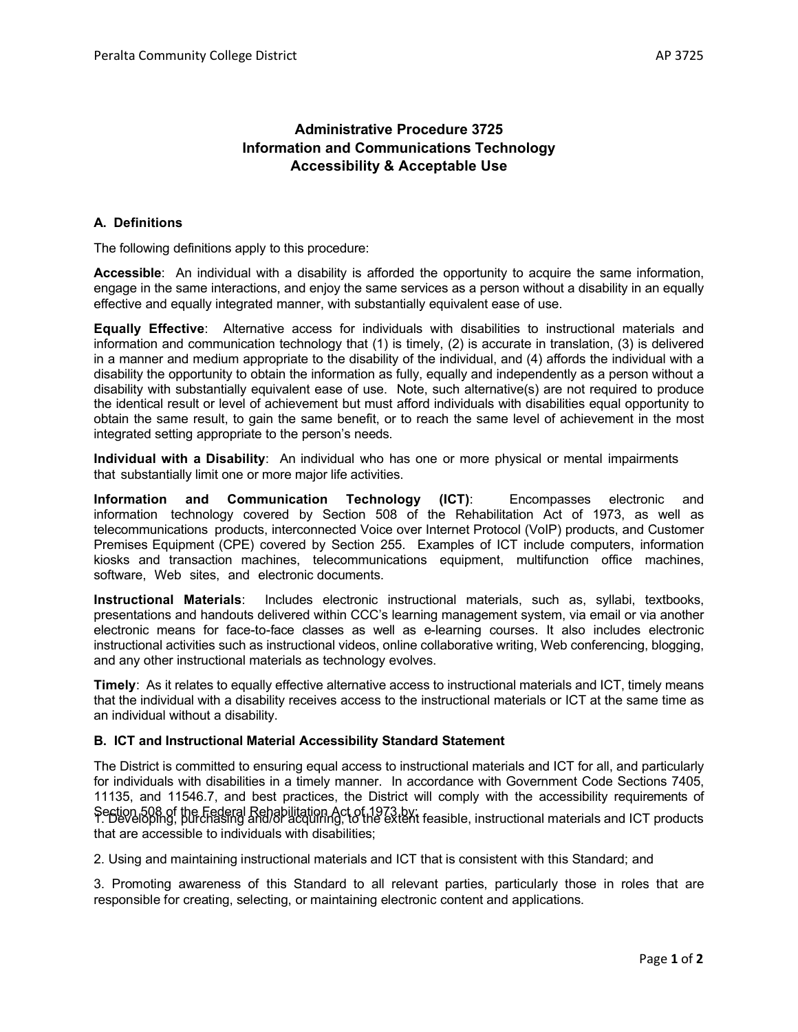## **Administrative Procedure 3725 Information and Communications Technology Accessibility & Acceptable Use**

## **A. Definitions**

The following definitions apply to this procedure:

**Accessible**: An individual with a disability is afforded the opportunity to acquire the same information, engage in the same interactions, and enjoy the same services as a person without a disability in an equally effective and equally integrated manner, with substantially equivalent ease of use.

**Equally Effective**: Alternative access for individuals with disabilities to instructional materials and information and communication technology that (1) is timely, (2) is accurate in translation, (3) is delivered in a manner and medium appropriate to the disability of the individual, and (4) affords the individual with a disability the opportunity to obtain the information as fully, equally and independently as a person without a disability with substantially equivalent ease of use. Note, such alternative(s) are not required to produce the identical result or level of achievement but must afford individuals with disabilities equal opportunity to obtain the same result, to gain the same benefit, or to reach the same level of achievement in the most integrated setting appropriate to the person's needs.

**Individual with a Disability**: An individual who has one or more physical or mental impairments that substantially limit one or more major life activities.

**Information and Communication Technology (ICT)**: Encompasses electronic and information technology covered by Section 508 of the Rehabilitation Act of 1973, as well as telecommunications products, interconnected Voice over Internet Protocol (VoIP) products, and Customer Premises Equipment (CPE) covered by Section 255. Examples of ICT include computers, information kiosks and transaction machines, telecommunications equipment, multifunction office machines, software, Web sites, and electronic documents.

**Instructional Materials**: Includes electronic instructional materials, such as, syllabi, textbooks, presentations and handouts delivered within CCC's learning management system, via email or via another electronic means for face-to-face classes as well as e-learning courses. It also includes electronic instructional activities such as instructional videos, online collaborative writing, Web conferencing, blogging, and any other instructional materials as technology evolves.

**Timely**: As it relates to equally effective alternative access to instructional materials and ICT, timely means that the individual with a disability receives access to the instructional materials or ICT at the same time as an individual without a disability.

## **B. ICT and Instructional Material Accessibility Standard Statement**

The District is committed to ensuring equal access to instructional materials and ICT for all, and particularly for individuals with disabilities in a timely manner. In accordance with Government Code Sections 7405, 11135, and 11546.7, and best practices, the District will comply with the accessibility requirements of Section 508 of the Federal Rehabilitation Act of 1973 by:<br>1. Developing, purchasing and/or acquiring, to the extent feasible, instructional materials and ICT products that are accessible to individuals with disabilities;

2. Using and maintaining instructional materials and ICT that is consistent with this Standard; and

3. Promoting awareness of this Standard to all relevant parties, particularly those in roles that are responsible for creating, selecting, or maintaining electronic content and applications.